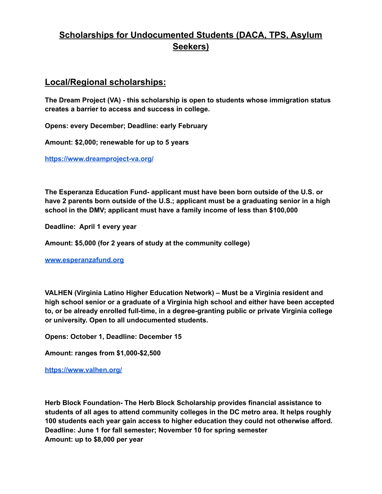#### **Local/Regional scholarships:**

**The Dream Project (VA) - this scholarship is open to students whose immigration status creates a barrier to access and success in college.**

**Opens: every December; Deadline: early February**

**Amount: \$2,000; renewable for up to 5 years**

**<https://www.dreamproject-va.org/>**

**The Esperanza Education Fund- applicant must have been born outside of the U.S. or have 2 parents born outside of the U.S.; applicant must be a graduating senior in a high school in the DMV; applicant must have a family income of less than \$100,000**

**Deadline: April 1 every year**

**Amount: \$5,000 (for 2 years of study at the community college)**

**[www.esperanzafund.org](http://www.esperanzafund.org/)**

**VALHEN (Virginia Latino Higher Education Network) – Must be a Virginia resident and high school senior or a graduate of a Virginia high school and either have been accepted to, or be already enrolled full-time, in a degree-granting public or private Virginia college or university. Open to all undocumented students.**

**Opens: October 1, Deadline: December 15**

**Amount: ranges from \$1,000-\$2,500**

**<https://www.valhen.org/>**

**Herb Block Foundation- The Herb Block Scholarship provides financial assistance to students of all ages to attend community colleges in the DC metro area. It helps roughly 100 students each year gain access to higher education they could not otherwise afford. Deadline: June 1 for fall semester; November 10 for spring semester Amount: up to \$8,000 per year**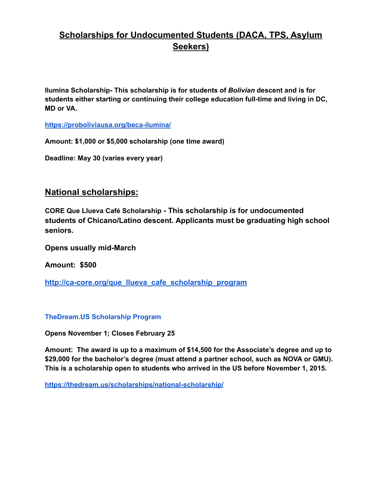**Ilumina Scholarship- This scholarship is for students of** *Bolivian* **descent and is for students either starting or continuing their college education full-time and living in DC, MD or VA.**

**<https://proboliviausa.org/beca-ilumina/>**

**Amount: \$1,000 or \$5,000 scholarship (one time award)**

**Deadline: May 30 (varies every year)**

#### **National scholarships:**

**CORE Que Llueva Café Scholarship - This scholarship is for undocumented students of Chicano/Latino descent. Applicants must be graduating high school seniors.**

**Opens usually mid-March**

**Amount: \$500**

**[http://ca-core.org/que\\_llueva\\_cafe\\_scholarship\\_program](http://ca-core.org/que_llueva_cafe_scholarship_program)**

**[TheDream.US](http://www.collegegreenlight.com/page/scholarships/details.jsp?scholarshipID=48878) Scholarship Program**

**Opens November 1; Closes February 25**

**Amount: The award is up to a maximum of \$14,500 for the Associate's degree and up to \$29,000 for the bachelor's degree (must attend a partner school, such as NOVA or GMU). This is a scholarship open to students who arrived in the US before November 1, 2015.**

**<https://thedream.us/scholarships/national-scholarship/>**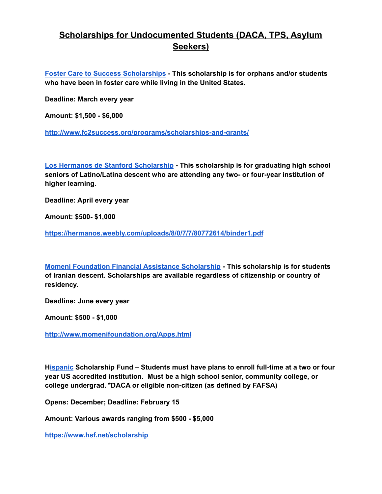**Foster Care to Success [Scholarships](http://www.collegegreenlight.com/page/scholarships/details.jsp?scholarshipID=2124) - This scholarship is for orphans and/or students who have been in foster care while living in the United States.**

**Deadline: March every year**

**Amount: \$1,500 - \$6,000**

**<http://www.fc2success.org/programs/scholarships-and-grants/>**

**Los Hermanos de Stanford [Scholarship](http://www.collegegreenlight.com/page/scholarships/details.jsp?scholarshipID=37984) - This scholarship is for graduating high school seniors of Latino/Latina descent who are attending any two- or four-year institution of higher learning.**

**Deadline: April every year**

**Amount: \$500- \$1,000**

**<https://hermanos.weebly.com/uploads/8/0/7/7/80772614/binder1.pdf>**

**Momeni Foundation Financial Assistance [Scholarship](http://www.collegegreenlight.com/page/scholarships/details.jsp?scholarshipID=39258) - This scholarship is for students of Iranian descent. Scholarships are available regardless of citizenship or country of residency.**

**Deadline: June every year**

**Amount: \$500 - \$1,000**

**<http://www.momenifoundation.org/Apps.html>**

**H[ispanic](http://www.collegegreenlight.com/page/scholarships/details.jsp?scholarshipID=1948) Scholarship Fund – Students must have plans to enroll full-time at a two or four year US accredited institution. Must be a high school senior, community college, or college undergrad. \*DACA or eligible non-citizen (as defined by FAFSA)**

**Opens: December; Deadline: February 15**

**Amount: Various awards ranging from \$500 - \$5,000**

**<https://www.hsf.net/scholarship>**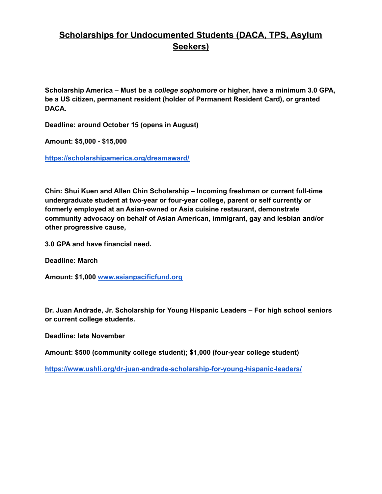**Scholarship America – Must be a** *college sophomore* **or higher, have a minimum 3.0 GPA, be a US citizen, permanent resident (holder of Permanent Resident Card), or granted DACA.**

**Deadline: around October 15 (opens in August)**

**Amount: \$5,000 - \$15,000**

**<https://scholarshipamerica.org/dreamaward/>**

**Chin: Shui Kuen and Allen Chin Scholarship – Incoming freshman or current full-time undergraduate student at two-year or four-year college, parent or self currently or formerly employed at an Asian-owned or Asia cuisine restaurant, demonstrate community advocacy on behalf of Asian American, immigrant, gay and lesbian and/or other progressive cause,**

**3.0 GPA and have financial need.**

**Deadline: March**

**Amount: \$1,000 [www.asianpacificfund.org](http://www.asianpacificfund.org/)**

**Dr. Juan Andrade, Jr. Scholarship for Young Hispanic Leaders – For high school seniors or current college students.**

**Deadline: late November**

**Amount: \$500 (community college student); \$1,000 (four-year college student)**

**<https://www.ushli.org/dr-juan-andrade-scholarship-for-young-hispanic-leaders/>**